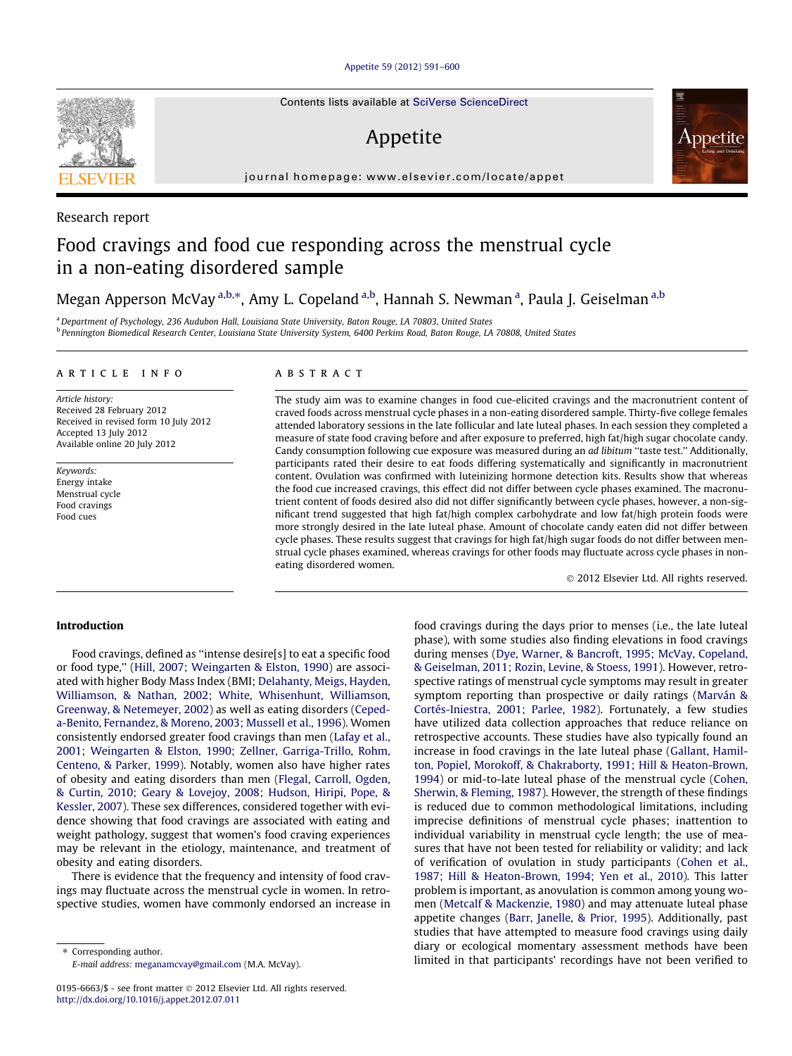#### [Appetite 59 \(2012\) 591–600](http://dx.doi.org/10.1016/j.appet.2012.07.011)

Contents lists available at [SciVerse ScienceDirect](http://www.sciencedirect.com/science/journal/01956663)

## Appetite

journal homepage: [www.elsevier.com/locate/appet](http://www.elsevier.com/locate/appet)

### Research report

### Food cravings and food cue responding across the menstrual cycle in a non-eating disordered sample

Megan Apperson McVay <sup>a,b,</sup>\*, Amy L. Copeland <sup>a,b</sup>, Hannah S. Newman <sup>a</sup>, Paula J. Geiselman <sup>a,b</sup>

a Department of Psychology, 236 Audubon Hall, Louisiana State University, Baton Rouge, LA 70803, United States <sup>b</sup> Pennington Biomedical Research Center, Louisiana State University System, 6400 Perkins Road, Baton Rouge, LA 70808, United States

#### article info

Article history: Received 28 February 2012 Received in revised form 10 July 2012 Accepted 13 July 2012 Available online 20 July 2012

Keywords: Energy intake Menstrual cycle Food cravings Food cues

#### ABSTRACT

The study aim was to examine changes in food cue-elicited cravings and the macronutrient content of craved foods across menstrual cycle phases in a non-eating disordered sample. Thirty-five college females attended laboratory sessions in the late follicular and late luteal phases. In each session they completed a measure of state food craving before and after exposure to preferred, high fat/high sugar chocolate candy. Candy consumption following cue exposure was measured during an ad libitum ''taste test.'' Additionally, participants rated their desire to eat foods differing systematically and significantly in macronutrient content. Ovulation was confirmed with luteinizing hormone detection kits. Results show that whereas the food cue increased cravings, this effect did not differ between cycle phases examined. The macronutrient content of foods desired also did not differ significantly between cycle phases, however, a non-significant trend suggested that high fat/high complex carbohydrate and low fat/high protein foods were more strongly desired in the late luteal phase. Amount of chocolate candy eaten did not differ between cycle phases. These results suggest that cravings for high fat/high sugar foods do not differ between menstrual cycle phases examined, whereas cravings for other foods may fluctuate across cycle phases in noneating disordered women.

- 2012 Elsevier Ltd. All rights reserved.

#### Introduction

Food cravings, defined as ''intense desire[s] to eat a specific food or food type,'' [\(Hill, 2007; Weingarten & Elston, 1990](#page--1-0)) are associated with higher Body Mass Index (BMI; [Delahanty, Meigs, Hayden,](#page--1-0) [Williamson, & Nathan, 2002; White, Whisenhunt, Williamson,](#page--1-0) [Greenway, & Netemeyer, 2002](#page--1-0)) as well as eating disorders [\(Ceped](#page--1-0)[a-Benito, Fernandez, & Moreno, 2003; Mussell et al., 1996\)](#page--1-0). Women consistently endorsed greater food cravings than men [\(Lafay et al.,](#page--1-0) [2001; Weingarten & Elston, 1990; Zellner, Garriga-Trillo, Rohm,](#page--1-0) [Centeno, & Parker, 1999](#page--1-0)). Notably, women also have higher rates of obesity and eating disorders than men ([Flegal, Carroll, Ogden,](#page--1-0) [& Curtin, 2010; Geary & Lovejoy, 2008; Hudson, Hiripi, Pope, &](#page--1-0) [Kessler, 2007](#page--1-0)). These sex differences, considered together with evidence showing that food cravings are associated with eating and weight pathology, suggest that women's food craving experiences may be relevant in the etiology, maintenance, and treatment of obesity and eating disorders.

There is evidence that the frequency and intensity of food cravings may fluctuate across the menstrual cycle in women. In retrospective studies, women have commonly endorsed an increase in

⇑ Corresponding author. E-mail address: [meganamcvay@gmail.com](mailto:meganamcvay@gmail.com) (M.A. McVay). food cravings during the days prior to menses (i.e., the late luteal phase), with some studies also finding elevations in food cravings during menses [\(Dye, Warner, & Bancroft, 1995; McVay, Copeland,](#page--1-0) [& Geiselman, 2011; Rozin, Levine, & Stoess, 1991](#page--1-0)). However, retrospective ratings of menstrual cycle symptoms may result in greater symptom reporting than prospective or daily ratings [\(Marván &](#page--1-0) [Cortés-Iniestra, 2001; Parlee, 1982\)](#page--1-0). Fortunately, a few studies have utilized data collection approaches that reduce reliance on retrospective accounts. These studies have also typically found an increase in food cravings in the late luteal phase [\(Gallant, Hamil](#page--1-0)[ton, Popiel, Morokoff, & Chakraborty, 1991; Hill & Heaton-Brown,](#page--1-0) [1994\)](#page--1-0) or mid-to-late luteal phase of the menstrual cycle [\(Cohen,](#page--1-0) [Sherwin, & Fleming, 1987\)](#page--1-0). However, the strength of these findings is reduced due to common methodological limitations, including imprecise definitions of menstrual cycle phases; inattention to individual variability in menstrual cycle length; the use of measures that have not been tested for reliability or validity; and lack of verification of ovulation in study participants [\(Cohen et al.,](#page--1-0) [1987; Hill & Heaton-Brown, 1994; Yen et al., 2010\)](#page--1-0). This latter problem is important, as anovulation is common among young women ([Metcalf & Mackenzie, 1980\)](#page--1-0) and may attenuate luteal phase appetite changes [\(Barr, Janelle, & Prior, 1995\)](#page--1-0). Additionally, past studies that have attempted to measure food cravings using daily diary or ecological momentary assessment methods have been limited in that participants' recordings have not been verified to





<sup>0195-6663/\$ -</sup> see front matter © 2012 Elsevier Ltd. All rights reserved. <http://dx.doi.org/10.1016/j.appet.2012.07.011>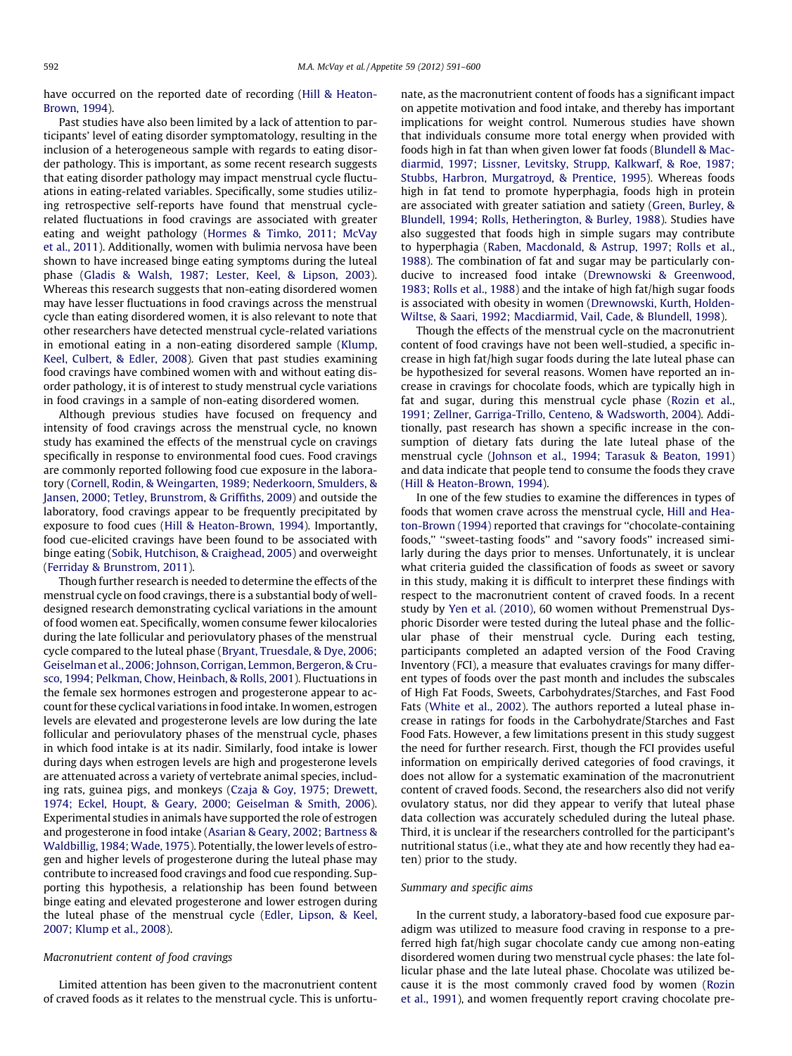have occurred on the reported date of recording [\(Hill & Heaton-](#page--1-0)[Brown, 1994](#page--1-0)).

Past studies have also been limited by a lack of attention to participants' level of eating disorder symptomatology, resulting in the inclusion of a heterogeneous sample with regards to eating disorder pathology. This is important, as some recent research suggests that eating disorder pathology may impact menstrual cycle fluctuations in eating-related variables. Specifically, some studies utilizing retrospective self-reports have found that menstrual cyclerelated fluctuations in food cravings are associated with greater eating and weight pathology [\(Hormes & Timko, 2011; McVay](#page--1-0) [et al., 2011](#page--1-0)). Additionally, women with bulimia nervosa have been shown to have increased binge eating symptoms during the luteal phase [\(Gladis & Walsh, 1987; Lester, Keel, & Lipson, 2003\)](#page--1-0). Whereas this research suggests that non-eating disordered women may have lesser fluctuations in food cravings across the menstrual cycle than eating disordered women, it is also relevant to note that other researchers have detected menstrual cycle-related variations in emotional eating in a non-eating disordered sample ([Klump,](#page--1-0) [Keel, Culbert, & Edler, 2008\)](#page--1-0). Given that past studies examining food cravings have combined women with and without eating disorder pathology, it is of interest to study menstrual cycle variations in food cravings in a sample of non-eating disordered women.

Although previous studies have focused on frequency and intensity of food cravings across the menstrual cycle, no known study has examined the effects of the menstrual cycle on cravings specifically in response to environmental food cues. Food cravings are commonly reported following food cue exposure in the laboratory [\(Cornell, Rodin, & Weingarten, 1989; Nederkoorn, Smulders, &](#page--1-0) [Jansen, 2000; Tetley, Brunstrom, & Griffiths, 2009\)](#page--1-0) and outside the laboratory, food cravings appear to be frequently precipitated by exposure to food cues ([Hill & Heaton-Brown, 1994\)](#page--1-0). Importantly, food cue-elicited cravings have been found to be associated with binge eating [\(Sobik, Hutchison, & Craighead, 2005\)](#page--1-0) and overweight ([Ferriday & Brunstrom, 2011\)](#page--1-0).

Though further research is needed to determine the effects of the menstrual cycle on food cravings, there is a substantial body of welldesigned research demonstrating cyclical variations in the amount of food women eat. Specifically, women consume fewer kilocalories during the late follicular and periovulatory phases of the menstrual cycle compared to the luteal phase ([Bryant, Truesdale, & Dye, 2006;](#page--1-0) [Geiselman et al., 2006; Johnson, Corrigan, Lemmon, Bergeron, & Cru](#page--1-0)[sco, 1994; Pelkman, Chow, Heinbach, & Rolls, 2001](#page--1-0)). Fluctuations in the female sex hormones estrogen and progesterone appear to account for these cyclical variations in food intake. In women, estrogen levels are elevated and progesterone levels are low during the late follicular and periovulatory phases of the menstrual cycle, phases in which food intake is at its nadir. Similarly, food intake is lower during days when estrogen levels are high and progesterone levels are attenuated across a variety of vertebrate animal species, including rats, guinea pigs, and monkeys ([Czaja & Goy, 1975; Drewett,](#page--1-0) [1974; Eckel, Houpt, & Geary, 2000; Geiselman & Smith, 2006\)](#page--1-0). Experimental studies in animals have supported the role of estrogen and progesterone in food intake ([Asarian & Geary, 2002; Bartness &](#page--1-0) Waldbillig, 1984; Wade, 1975). Potentially, the lower levels of estrogen and higher levels of progesterone during the luteal phase may contribute to increased food cravings and food cue responding. Supporting this hypothesis, a relationship has been found between binge eating and elevated progesterone and lower estrogen during the luteal phase of the menstrual cycle [\(Edler, Lipson, & Keel,](#page--1-0) [2007; Klump et al., 2008\)](#page--1-0).

#### Macronutrient content of food cravings

Limited attention has been given to the macronutrient content of craved foods as it relates to the menstrual cycle. This is unfortunate, as the macronutrient content of foods has a significant impact on appetite motivation and food intake, and thereby has important implications for weight control. Numerous studies have shown that individuals consume more total energy when provided with foods high in fat than when given lower fat foods [\(Blundell & Mac](#page--1-0)[diarmid, 1997; Lissner, Levitsky, Strupp, Kalkwarf, & Roe, 1987;](#page--1-0) [Stubbs, Harbron, Murgatroyd, & Prentice, 1995](#page--1-0)). Whereas foods high in fat tend to promote hyperphagia, foods high in protein are associated with greater satiation and satiety ([Green, Burley, &](#page--1-0) [Blundell, 1994; Rolls, Hetherington, & Burley, 1988\)](#page--1-0). Studies have also suggested that foods high in simple sugars may contribute to hyperphagia ([Raben, Macdonald, & Astrup, 1997; Rolls et al.,](#page--1-0) [1988\)](#page--1-0). The combination of fat and sugar may be particularly conducive to increased food intake [\(Drewnowski & Greenwood,](#page--1-0) [1983; Rolls et al., 1988\)](#page--1-0) and the intake of high fat/high sugar foods is associated with obesity in women ([Drewnowski, Kurth, Holden-](#page--1-0)[Wiltse, & Saari, 1992; Macdiarmid, Vail, Cade, & Blundell, 1998](#page--1-0)).

Though the effects of the menstrual cycle on the macronutrient content of food cravings have not been well-studied, a specific increase in high fat/high sugar foods during the late luteal phase can be hypothesized for several reasons. Women have reported an increase in cravings for chocolate foods, which are typically high in fat and sugar, during this menstrual cycle phase ([Rozin et al.,](#page--1-0) [1991; Zellner, Garriga-Trillo, Centeno, & Wadsworth, 2004](#page--1-0)). Additionally, past research has shown a specific increase in the consumption of dietary fats during the late luteal phase of the menstrual cycle [\(Johnson et al., 1994; Tarasuk & Beaton, 1991\)](#page--1-0) and data indicate that people tend to consume the foods they crave ([Hill & Heaton-Brown, 1994](#page--1-0)).

In one of the few studies to examine the differences in types of foods that women crave across the menstrual cycle, [Hill and Hea](#page--1-0)[ton-Brown \(1994\)](#page--1-0) reported that cravings for ''chocolate-containing foods,'' ''sweet-tasting foods'' and ''savory foods'' increased similarly during the days prior to menses. Unfortunately, it is unclear what criteria guided the classification of foods as sweet or savory in this study, making it is difficult to interpret these findings with respect to the macronutrient content of craved foods. In a recent study by [Yen et al. \(2010\)](#page--1-0), 60 women without Premenstrual Dysphoric Disorder were tested during the luteal phase and the follicular phase of their menstrual cycle. During each testing, participants completed an adapted version of the Food Craving Inventory (FCI), a measure that evaluates cravings for many different types of foods over the past month and includes the subscales of High Fat Foods, Sweets, Carbohydrates/Starches, and Fast Food Fats [\(White et al., 2002](#page--1-0)). The authors reported a luteal phase increase in ratings for foods in the Carbohydrate/Starches and Fast Food Fats. However, a few limitations present in this study suggest the need for further research. First, though the FCI provides useful information on empirically derived categories of food cravings, it does not allow for a systematic examination of the macronutrient content of craved foods. Second, the researchers also did not verify ovulatory status, nor did they appear to verify that luteal phase data collection was accurately scheduled during the luteal phase. Third, it is unclear if the researchers controlled for the participant's nutritional status (i.e., what they ate and how recently they had eaten) prior to the study.

#### Summary and specific aims

In the current study, a laboratory-based food cue exposure paradigm was utilized to measure food craving in response to a preferred high fat/high sugar chocolate candy cue among non-eating disordered women during two menstrual cycle phases: the late follicular phase and the late luteal phase. Chocolate was utilized because it is the most commonly craved food by women ([Rozin](#page--1-0) [et al., 1991](#page--1-0)), and women frequently report craving chocolate pre-